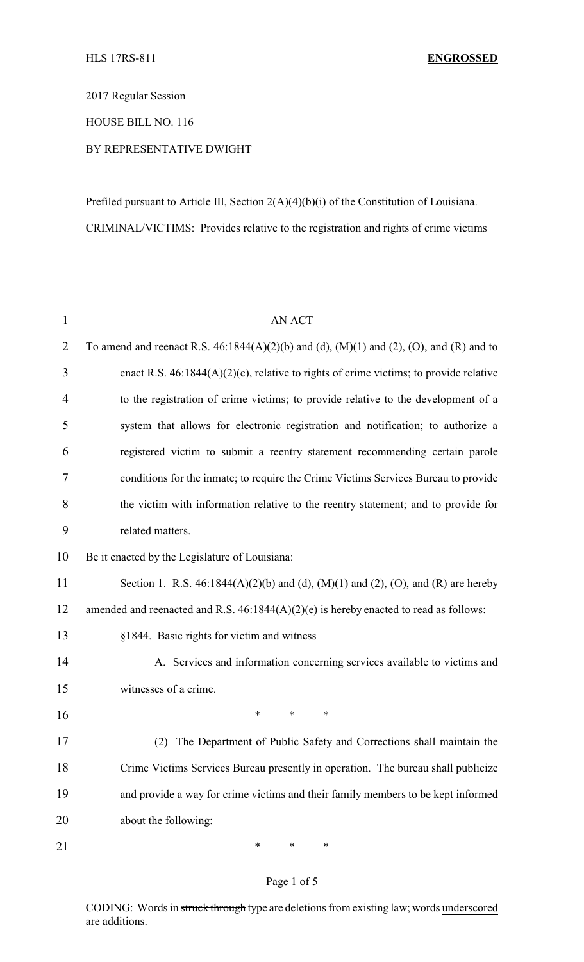2017 Regular Session

HOUSE BILL NO. 116

# BY REPRESENTATIVE DWIGHT

Prefiled pursuant to Article III, Section 2(A)(4)(b)(i) of the Constitution of Louisiana. CRIMINAL/VICTIMS: Provides relative to the registration and rights of crime victims

| $\mathbf{1}$   | <b>AN ACT</b>                                                                              |  |  |  |  |  |  |  |  |
|----------------|--------------------------------------------------------------------------------------------|--|--|--|--|--|--|--|--|
| $\overline{2}$ | To amend and reenact R.S. $46:1844(A)(2)(b)$ and (d), (M)(1) and (2), (O), and (R) and to  |  |  |  |  |  |  |  |  |
| 3              | enact R.S. $46:1844(A)(2)(e)$ , relative to rights of crime victims; to provide relative   |  |  |  |  |  |  |  |  |
| $\overline{4}$ | to the registration of crime victims; to provide relative to the development of a          |  |  |  |  |  |  |  |  |
| 5              | system that allows for electronic registration and notification; to authorize a            |  |  |  |  |  |  |  |  |
| 6              | registered victim to submit a reentry statement recommending certain parole                |  |  |  |  |  |  |  |  |
| 7              | conditions for the inmate; to require the Crime Victims Services Bureau to provide         |  |  |  |  |  |  |  |  |
| 8              | the victim with information relative to the reentry statement; and to provide for          |  |  |  |  |  |  |  |  |
| 9              | related matters.                                                                           |  |  |  |  |  |  |  |  |
| 10             | Be it enacted by the Legislature of Louisiana:                                             |  |  |  |  |  |  |  |  |
| 11             | Section 1. R.S. $46:1844(A)(2)(b)$ and (d), $(M)(1)$ and (2), $(O)$ , and $(R)$ are hereby |  |  |  |  |  |  |  |  |
| 12             | amended and reenacted and R.S. $46:1844(A)(2)(e)$ is hereby enacted to read as follows:    |  |  |  |  |  |  |  |  |
| 13             | §1844. Basic rights for victim and witness                                                 |  |  |  |  |  |  |  |  |
| 14             | A. Services and information concerning services available to victims and                   |  |  |  |  |  |  |  |  |
| 15             | witnesses of a crime.                                                                      |  |  |  |  |  |  |  |  |
| 16             | ∗<br>∗<br>∗                                                                                |  |  |  |  |  |  |  |  |
| 17             | (2) The Department of Public Safety and Corrections shall maintain the                     |  |  |  |  |  |  |  |  |
| 18             | Crime Victims Services Bureau presently in operation. The bureau shall publicize           |  |  |  |  |  |  |  |  |
| 19             | and provide a way for crime victims and their family members to be kept informed           |  |  |  |  |  |  |  |  |
| 20             | about the following:                                                                       |  |  |  |  |  |  |  |  |
| 21             | ∗<br>∗<br>∗                                                                                |  |  |  |  |  |  |  |  |

#### Page 1 of 5

CODING: Words in struck through type are deletions from existing law; words underscored are additions.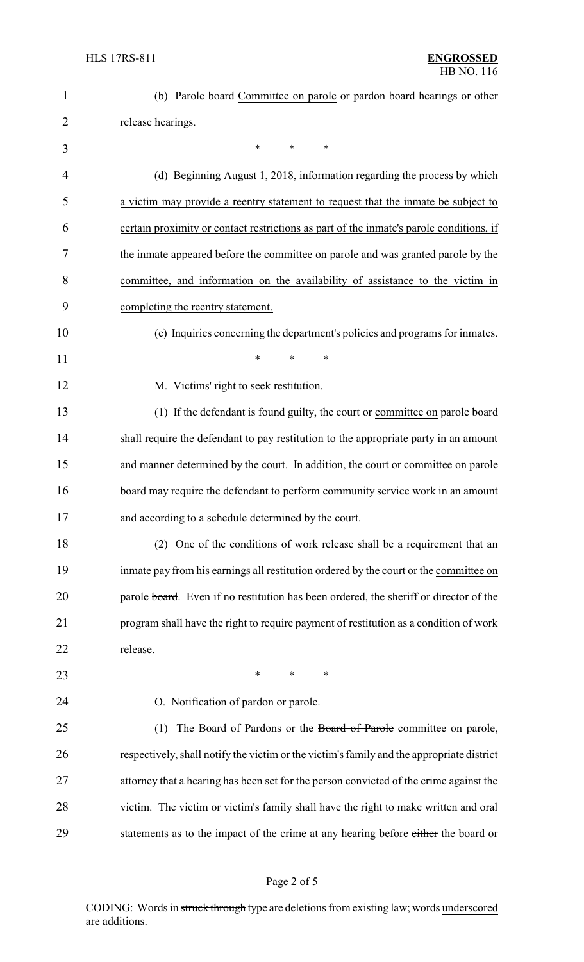| 1              | (b) Parole board Committee on parole or pardon board hearings or other                    |
|----------------|-------------------------------------------------------------------------------------------|
| $\overline{2}$ | release hearings.                                                                         |
| 3              | *<br>$\ast$<br>*                                                                          |
| 4              | (d) Beginning August 1, 2018, information regarding the process by which                  |
| 5              | a victim may provide a reentry statement to request that the inmate be subject to         |
| 6              | certain proximity or contact restrictions as part of the inmate's parole conditions, if   |
| 7              | the inmate appeared before the committee on parole and was granted parole by the          |
| 8              | committee, and information on the availability of assistance to the victim in             |
| 9              | completing the reentry statement.                                                         |
| 10             | (e) Inquiries concerning the department's policies and programs for inmates.              |
| 11             | *<br>*<br>*                                                                               |
| 12             | M. Victims' right to seek restitution.                                                    |
| 13             | (1) If the defendant is found guilty, the court or committee on parole board              |
| 14             | shall require the defendant to pay restitution to the appropriate party in an amount      |
| 15             | and manner determined by the court. In addition, the court or committee on parole         |
| 16             | board may require the defendant to perform community service work in an amount            |
| 17             | and according to a schedule determined by the court.                                      |
| 18             | (2) One of the conditions of work release shall be a requirement that an                  |
| 19             | inmate pay from his earnings all restitution ordered by the court or the committee on     |
| 20             | parole board. Even if no restitution has been ordered, the sheriff or director of the     |
| 21             | program shall have the right to require payment of restitution as a condition of work     |
| 22             | release.                                                                                  |
| 23             | $\ast$<br>*<br>∗                                                                          |
| 24             | O. Notification of pardon or parole.                                                      |
| 25             | The Board of Pardons or the Board of Parole committee on parole,<br>(1)                   |
| 26             | respectively, shall notify the victim or the victim's family and the appropriate district |
| 27             | attorney that a hearing has been set for the person convicted of the crime against the    |
| 28             | victim. The victim or victim's family shall have the right to make written and oral       |
| 29             | statements as to the impact of the crime at any hearing before either the board or        |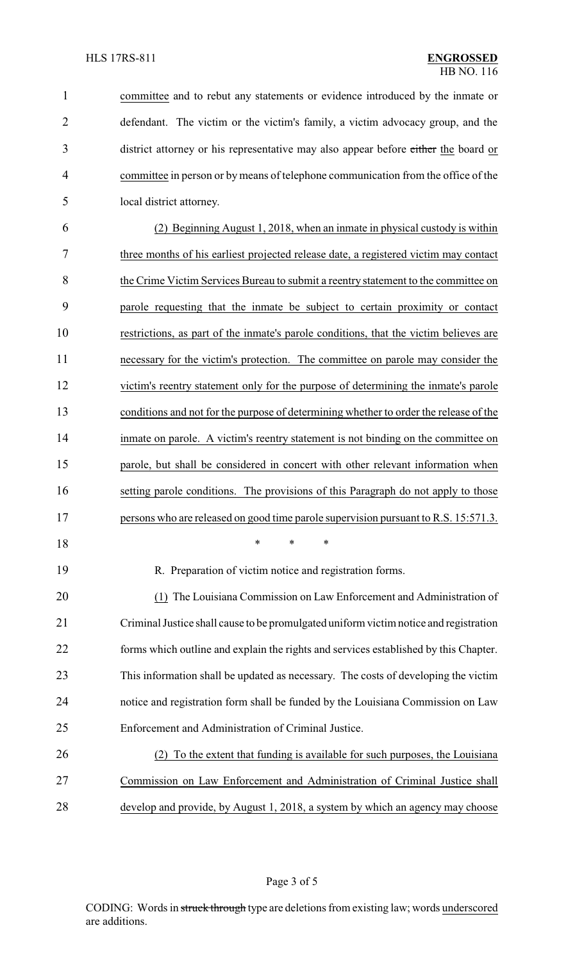| $\mathbf{1}$   | committee and to rebut any statements or evidence introduced by the inmate or         |  |  |  |  |  |  |  |
|----------------|---------------------------------------------------------------------------------------|--|--|--|--|--|--|--|
| $\overline{2}$ | defendant. The victim or the victim's family, a victim advocacy group, and the        |  |  |  |  |  |  |  |
| 3              | district attorney or his representative may also appear before either the board or    |  |  |  |  |  |  |  |
| 4              | committee in person or by means of telephone communication from the office of the     |  |  |  |  |  |  |  |
| 5              | local district attorney.                                                              |  |  |  |  |  |  |  |
| 6              | (2) Beginning August 1, 2018, when an inmate in physical custody is within            |  |  |  |  |  |  |  |
| 7              | three months of his earliest projected release date, a registered victim may contact  |  |  |  |  |  |  |  |
| 8              | the Crime Victim Services Bureau to submit a reentry statement to the committee on    |  |  |  |  |  |  |  |
| 9              | parole requesting that the inmate be subject to certain proximity or contact          |  |  |  |  |  |  |  |
| 10             | restrictions, as part of the inmate's parole conditions, that the victim believes are |  |  |  |  |  |  |  |
| 11             | necessary for the victim's protection. The committee on parole may consider the       |  |  |  |  |  |  |  |
| 12             | victim's reentry statement only for the purpose of determining the inmate's parole    |  |  |  |  |  |  |  |
| 13             | conditions and not for the purpose of determining whether to order the release of the |  |  |  |  |  |  |  |
| 14             | inmate on parole. A victim's reentry statement is not binding on the committee on     |  |  |  |  |  |  |  |
| 15             | parole, but shall be considered in concert with other relevant information when       |  |  |  |  |  |  |  |
| 16             | setting parole conditions. The provisions of this Paragraph do not apply to those     |  |  |  |  |  |  |  |
| 17             | persons who are released on good time parole supervision pursuant to R.S. 15:571.3.   |  |  |  |  |  |  |  |
| 18             | $\ast$<br>∗<br>∗                                                                      |  |  |  |  |  |  |  |
| 19             | R. Preparation of victim notice and registration forms.                               |  |  |  |  |  |  |  |
| 20             | (1) The Louisiana Commission on Law Enforcement and Administration of                 |  |  |  |  |  |  |  |
| 21             | Criminal Justice shall cause to be promulgated uniform victim notice and registration |  |  |  |  |  |  |  |
| 22             | forms which outline and explain the rights and services established by this Chapter.  |  |  |  |  |  |  |  |
| 23             | This information shall be updated as necessary. The costs of developing the victim    |  |  |  |  |  |  |  |
| 24             | notice and registration form shall be funded by the Louisiana Commission on Law       |  |  |  |  |  |  |  |
| 25             | Enforcement and Administration of Criminal Justice.                                   |  |  |  |  |  |  |  |
| 26             | To the extent that funding is available for such purposes, the Louisiana              |  |  |  |  |  |  |  |
| 27             | Commission on Law Enforcement and Administration of Criminal Justice shall            |  |  |  |  |  |  |  |
| 28             | develop and provide, by August 1, 2018, a system by which an agency may choose        |  |  |  |  |  |  |  |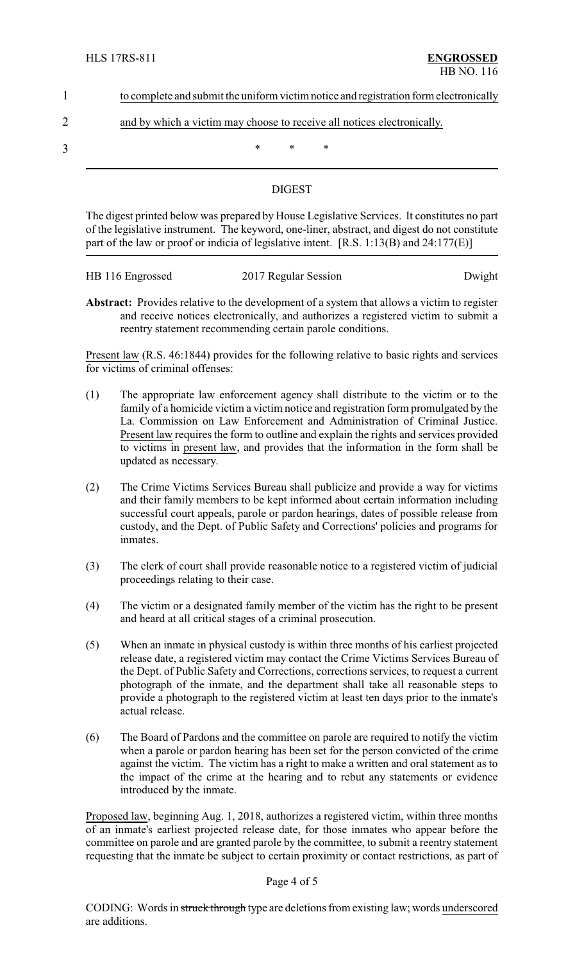| to complete and submit the uniform victim notice and registration form electronically |  |  |  |  |  |  |  |  |
|---------------------------------------------------------------------------------------|--|--|--|--|--|--|--|--|
|                                                                                       |  |  |  |  |  |  |  |  |
|                                                                                       |  |  |  |  |  |  |  |  |

# 2 and by which a victim may choose to receive all notices electronically.

 $3$  \* \* \*

# DIGEST

The digest printed below was prepared by House Legislative Services. It constitutes no part of the legislative instrument. The keyword, one-liner, abstract, and digest do not constitute part of the law or proof or indicia of legislative intent. [R.S. 1:13(B) and 24:177(E)]

| HB 116 Engrossed | 2017 Regular Session |        |
|------------------|----------------------|--------|
|                  |                      | Dwight |

**Abstract:** Provides relative to the development of a system that allows a victim to register and receive notices electronically, and authorizes a registered victim to submit a reentry statement recommending certain parole conditions.

Present law (R.S. 46:1844) provides for the following relative to basic rights and services for victims of criminal offenses:

- (1) The appropriate law enforcement agency shall distribute to the victim or to the family of a homicide victim a victim notice and registration form promulgated by the La. Commission on Law Enforcement and Administration of Criminal Justice. Present law requires the form to outline and explain the rights and services provided to victims in present law, and provides that the information in the form shall be updated as necessary.
- (2) The Crime Victims Services Bureau shall publicize and provide a way for victims and their family members to be kept informed about certain information including successful court appeals, parole or pardon hearings, dates of possible release from custody, and the Dept. of Public Safety and Corrections' policies and programs for inmates.
- (3) The clerk of court shall provide reasonable notice to a registered victim of judicial proceedings relating to their case.
- (4) The victim or a designated family member of the victim has the right to be present and heard at all critical stages of a criminal prosecution.
- (5) When an inmate in physical custody is within three months of his earliest projected release date, a registered victim may contact the Crime Victims Services Bureau of the Dept. of Public Safety and Corrections, corrections services, to request a current photograph of the inmate, and the department shall take all reasonable steps to provide a photograph to the registered victim at least ten days prior to the inmate's actual release.
- (6) The Board of Pardons and the committee on parole are required to notify the victim when a parole or pardon hearing has been set for the person convicted of the crime against the victim. The victim has a right to make a written and oral statement as to the impact of the crime at the hearing and to rebut any statements or evidence introduced by the inmate.

Proposed law, beginning Aug. 1, 2018, authorizes a registered victim, within three months of an inmate's earliest projected release date, for those inmates who appear before the committee on parole and are granted parole by the committee, to submit a reentry statement requesting that the inmate be subject to certain proximity or contact restrictions, as part of

#### Page 4 of 5